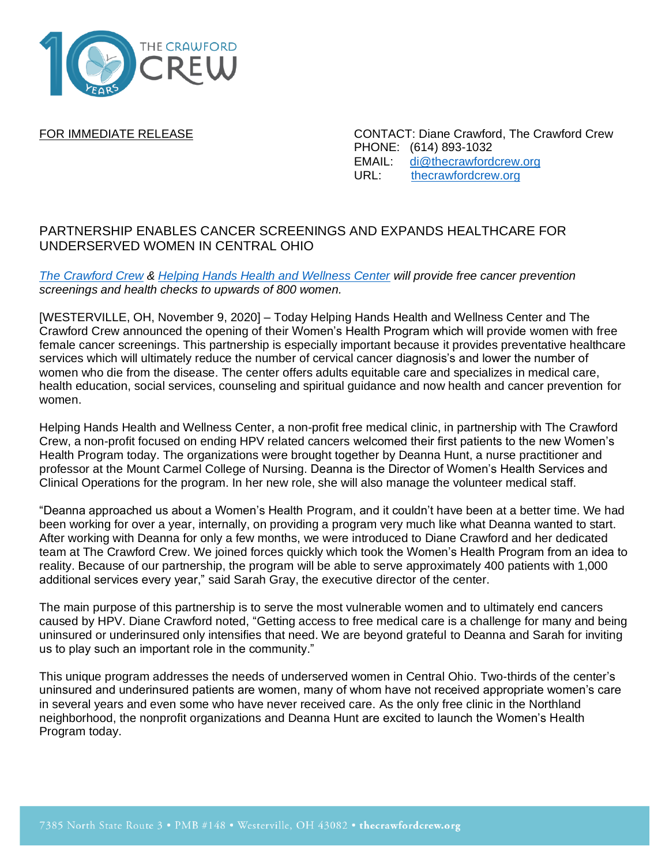

FOR IMMEDIATE RELEASE CONTACT: Diane Crawford, The Crawford Crew PHONE: (614) 893-1032 EMAIL: [di@thecrawfordcrew.org](mailto:di@thecrawfordcrew.org) URL: [thecrawfordcrew.org](https://thecrawfordcrew.org/)

## PARTNERSHIP ENABLES CANCER SCREENINGS AND EXPANDS HEALTHCARE FOR UNDERSERVED WOMEN IN CENTRAL OHIO

*[The Crawford Crew](http://www.thecrawfordcrew.org/) & [Helping Hands Health and Wellness Center](https://www.helpinghandsfreeclinic.org/) will provide free cancer prevention screenings and health checks to upwards of 800 women.*

[WESTERVILLE, OH, November 9, 2020] – Today Helping Hands Health and Wellness Center and The Crawford Crew announced the opening of their Women's Health Program which will provide women with free female cancer screenings. This partnership is especially important because it provides preventative healthcare services which will ultimately reduce the number of cervical cancer diagnosis's and lower the number of women who die from the disease. The center offers adults equitable care and specializes in medical care, health education, social services, counseling and spiritual guidance and now health and cancer prevention for women.

Helping Hands Health and Wellness Center, a non-profit free medical clinic, in partnership with The Crawford Crew, a non-profit focused on ending HPV related cancers welcomed their first patients to the new Women's Health Program today. The organizations were brought together by Deanna Hunt, a nurse practitioner and professor at the Mount Carmel College of Nursing. Deanna is the Director of Women's Health Services and Clinical Operations for the program. In her new role, she will also manage the volunteer medical staff.

"Deanna approached us about a Women's Health Program, and it couldn't have been at a better time. We had been working for over a year, internally, on providing a program very much like what Deanna wanted to start. After working with Deanna for only a few months, we were introduced to Diane Crawford and her dedicated team at The Crawford Crew. We joined forces quickly which took the Women's Health Program from an idea to reality. Because of our partnership, the program will be able to serve approximately 400 patients with 1,000 additional services every year," said Sarah Gray, the executive director of the center.

The main purpose of this partnership is to serve the most vulnerable women and to ultimately end cancers caused by HPV. Diane Crawford noted, "Getting access to free medical care is a challenge for many and being uninsured or underinsured only intensifies that need. We are beyond grateful to Deanna and Sarah for inviting us to play such an important role in the community."

This unique program addresses the needs of underserved women in Central Ohio. Two-thirds of the center's uninsured and underinsured patients are women, many of whom have not received appropriate women's care in several years and even some who have never received care. As the only free clinic in the Northland neighborhood, the nonprofit organizations and Deanna Hunt are excited to launch the Women's Health Program today.